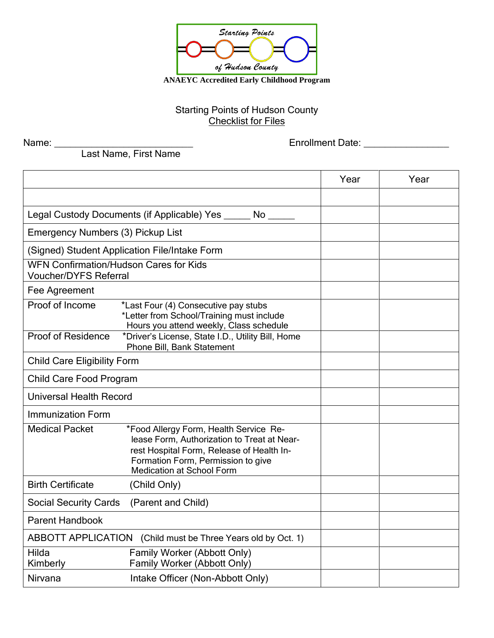

Starting Points of Hudson County **Checklist for Files** 

Name: \_\_\_\_\_\_\_\_\_\_\_\_\_\_\_\_\_\_\_\_\_\_\_\_\_\_ Enrollment Date: \_\_\_\_\_\_\_\_\_\_\_\_\_\_\_\_

Last Name, First Name

|                                                                               |                                                                                                                                                                                                              | Year | Year |
|-------------------------------------------------------------------------------|--------------------------------------------------------------------------------------------------------------------------------------------------------------------------------------------------------------|------|------|
|                                                                               |                                                                                                                                                                                                              |      |      |
|                                                                               | Legal Custody Documents (if Applicable) Yes ______ No                                                                                                                                                        |      |      |
| Emergency Numbers (3) Pickup List                                             |                                                                                                                                                                                                              |      |      |
|                                                                               | (Signed) Student Application File/Intake Form                                                                                                                                                                |      |      |
| <b>WFN Confirmation/Hudson Cares for Kids</b><br><b>Voucher/DYFS Referral</b> |                                                                                                                                                                                                              |      |      |
| Fee Agreement                                                                 |                                                                                                                                                                                                              |      |      |
| Proof of Income                                                               | *Last Four (4) Consecutive pay stubs<br>*Letter from School/Training must include<br>Hours you attend weekly, Class schedule                                                                                 |      |      |
| <b>Proof of Residence</b>                                                     | *Driver's License, State I.D., Utility Bill, Home<br>Phone Bill, Bank Statement                                                                                                                              |      |      |
| <b>Child Care Eligibility Form</b>                                            |                                                                                                                                                                                                              |      |      |
| Child Care Food Program                                                       |                                                                                                                                                                                                              |      |      |
| <b>Universal Health Record</b>                                                |                                                                                                                                                                                                              |      |      |
| <b>Immunization Form</b>                                                      |                                                                                                                                                                                                              |      |      |
| <b>Medical Packet</b>                                                         | *Food Allergy Form, Health Service Re-<br>lease Form, Authorization to Treat at Near-<br>rest Hospital Form, Release of Health In-<br>Formation Form, Permission to give<br><b>Medication at School Form</b> |      |      |
| <b>Birth Certificate</b>                                                      | (Child Only)                                                                                                                                                                                                 |      |      |
| <b>Social Security Cards</b>                                                  | (Parent and Child)                                                                                                                                                                                           |      |      |
| Parent Handbook                                                               |                                                                                                                                                                                                              |      |      |
| ABBOTT APPLICATION                                                            | (Child must be Three Years old by Oct. 1)                                                                                                                                                                    |      |      |
| Hilda<br>Kimberly                                                             | Family Worker (Abbott Only)<br>Family Worker (Abbott Only)                                                                                                                                                   |      |      |
| Nirvana                                                                       | Intake Officer (Non-Abbott Only)                                                                                                                                                                             |      |      |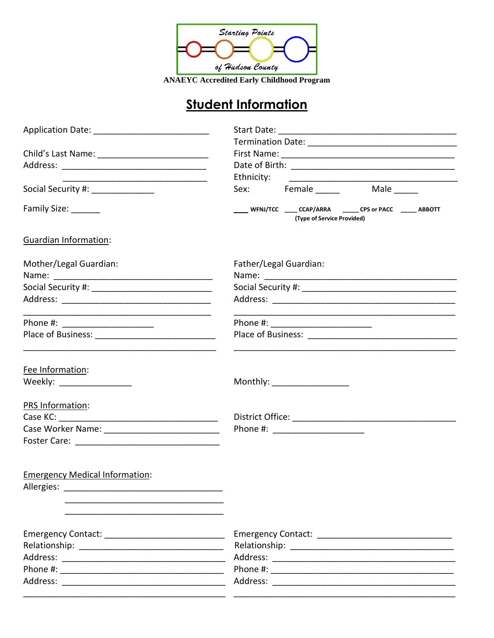

**ANAEYC Accredited Early Childhood Program** 

# **Student Information**

|                                                 | Ethnicity:                                                                               |
|-------------------------------------------------|------------------------------------------------------------------------------------------|
| Social Security #: ______________               | Sex: Female Male                                                                         |
| Family Size: _______                            | WFNJ/TCC _____ CCAP/ARRA _______ CPS or PACC ______ ABBOTT<br>(Type of Service Provided) |
| Guardian Information:                           |                                                                                          |
| Mother/Legal Guardian:                          | Father/Legal Guardian:                                                                   |
|                                                 |                                                                                          |
|                                                 |                                                                                          |
|                                                 | Phone #: ________________________                                                        |
|                                                 |                                                                                          |
| Fee Information:<br>Weekly: ___________________ | Monthly: ___________________                                                             |
| PRS Information:                                |                                                                                          |
|                                                 |                                                                                          |
|                                                 | Phone #: ________________________                                                        |
|                                                 |                                                                                          |
| <b>Emergency Medical Information:</b>           |                                                                                          |
| Allergies:                                      |                                                                                          |
|                                                 |                                                                                          |
|                                                 |                                                                                          |
|                                                 |                                                                                          |
|                                                 |                                                                                          |
|                                                 |                                                                                          |
|                                                 |                                                                                          |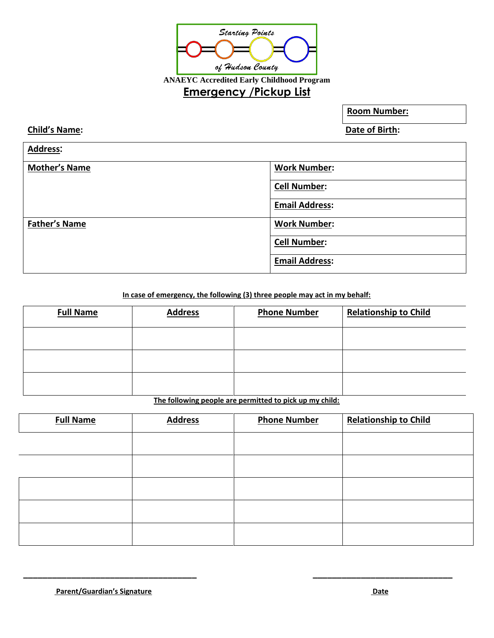

**Room Number:**

**Address:**

**Child's Name: Date of Birth:**

| <u>.</u>             |                       |
|----------------------|-----------------------|
| <b>Mother's Name</b> | <b>Work Number:</b>   |
|                      | <b>Cell Number:</b>   |
|                      | <b>Email Address:</b> |
| <b>Father's Name</b> | <b>Work Number:</b>   |
|                      | <b>Cell Number:</b>   |
|                      | <b>Email Address:</b> |

**In case of emergency, the following (3) three people may act in my behalf:**

| <b>Full Name</b> | <b>Address</b> | <b>Phone Number</b> | <b>Relationship to Child</b> |
|------------------|----------------|---------------------|------------------------------|
|                  |                |                     |                              |
|                  |                |                     |                              |
|                  |                |                     |                              |

**The following people are permitted to pick up my child:**

| <b>Full Name</b> | <b>Address</b> | <b>Phone Number</b> | <b>Relationship to Child</b> |
|------------------|----------------|---------------------|------------------------------|
|                  |                |                     |                              |
|                  |                |                     |                              |
|                  |                |                     |                              |
|                  |                |                     |                              |
|                  |                |                     |                              |

**\_\_\_\_\_\_\_\_\_\_\_\_\_\_\_\_\_\_\_\_\_\_\_\_\_\_\_\_\_\_\_\_\_\_\_\_ \_\_\_\_\_\_\_\_\_\_\_\_\_\_\_\_\_\_\_\_\_\_\_\_\_\_\_\_\_**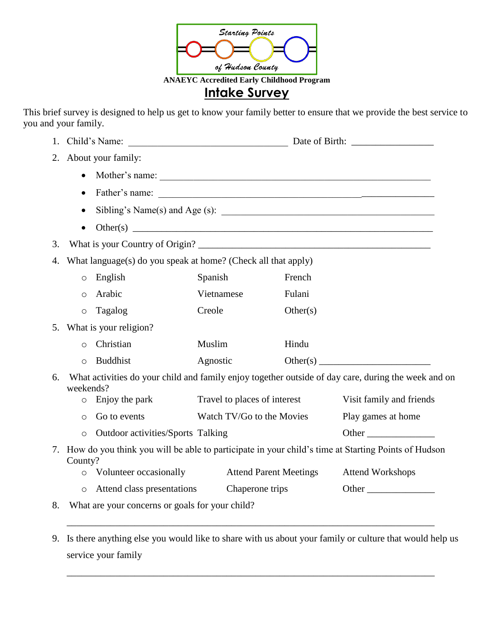

This brief survey is designed to help us get to know your family better to ensure that we provide the best service to you and your family.

| 1. |                                              |                                                               |                               |                                                                                                     |
|----|----------------------------------------------|---------------------------------------------------------------|-------------------------------|-----------------------------------------------------------------------------------------------------|
| 2. | About your family:                           |                                                               |                               |                                                                                                     |
|    | $\bullet$                                    |                                                               |                               |                                                                                                     |
|    | $\bullet$                                    |                                                               |                               |                                                                                                     |
|    |                                              |                                                               |                               | Sibling's Name(s) and Age (s): $\_\_\_\_\_\_\_\_\_\_\_\_$                                           |
|    | $\bullet$                                    |                                                               |                               |                                                                                                     |
| 3. |                                              |                                                               |                               |                                                                                                     |
| 4. |                                              | What language(s) do you speak at home? (Check all that apply) |                               |                                                                                                     |
|    | English<br>$\circ$                           | Spanish                                                       | French                        |                                                                                                     |
|    | Arabic<br>$\circ$                            | Vietnamese                                                    | Fulani                        |                                                                                                     |
|    | Tagalog<br>$\circ$                           | Creole                                                        | Other(s)                      |                                                                                                     |
|    | 5. What is your religion?                    |                                                               |                               |                                                                                                     |
|    | Christian<br>$\circ$                         | Muslim                                                        | Hindu                         |                                                                                                     |
|    | <b>Buddhist</b><br>$\circ$                   | Agnostic                                                      |                               |                                                                                                     |
| 6. | weekends?                                    |                                                               |                               | What activities do your child and family enjoy together outside of day care, during the week and on |
|    | Enjoy the park<br>$\circ$                    | Travel to places of interest                                  |                               | Visit family and friends                                                                            |
|    | Go to events<br>$\circ$                      | Watch TV/Go to the Movies                                     |                               | Play games at home                                                                                  |
|    | Outdoor activities/Sports Talking<br>$\circ$ |                                                               |                               | Other                                                                                               |
| 7. | County?                                      |                                                               |                               | How do you think you will be able to participate in your child's time at Starting Points of Hudson  |
|    | Volunteer occasionally<br>$\circ$            |                                                               | <b>Attend Parent Meetings</b> | <b>Attend Workshops</b>                                                                             |
|    | Attend class presentations<br>$\circ$        | Chaperone trips                                               |                               | Other                                                                                               |
|    |                                              | What are your concerns or goals for your child?               |                               |                                                                                                     |

\_\_\_\_\_\_\_\_\_\_\_\_\_\_\_\_\_\_\_\_\_\_\_\_\_\_\_\_\_\_\_\_\_\_\_\_\_\_\_\_\_\_\_\_\_\_\_\_\_\_\_\_\_\_\_\_\_\_\_\_\_\_\_\_\_\_\_\_\_\_\_\_\_\_\_\_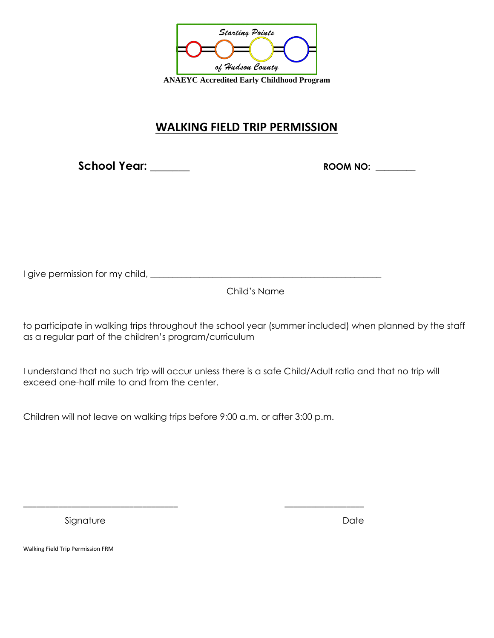

#### **WALKING FIELD TRIP PERMISSION**

**School Year: \_\_\_\_\_\_\_ ROOM NO: \_\_\_\_\_\_\_** 

I give permission for my child, \_\_\_\_\_\_\_\_\_\_\_\_\_\_\_\_\_\_\_\_\_\_\_\_\_\_\_\_\_\_\_\_\_\_\_\_\_\_\_\_\_\_\_\_\_\_\_\_\_\_\_\_

Child's Name

to participate in walking trips throughout the school year (summer included) when planned by the staff as a regular part of the children's program/curriculum

I understand that no such trip will occur unless there is a safe Child/Adult ratio and that no trip will exceed one-half mile to and from the center.

Children will not leave on walking trips before 9:00 a.m. or after 3:00 p.m.

\_\_\_\_\_\_\_\_\_\_\_\_\_\_\_\_\_\_\_\_\_\_\_\_\_\_\_\_\_\_\_\_\_\_\_ \_\_\_\_\_\_\_\_\_\_\_\_\_\_\_\_\_\_

Signature Date Date Date

Walking Field Trip Permission FRM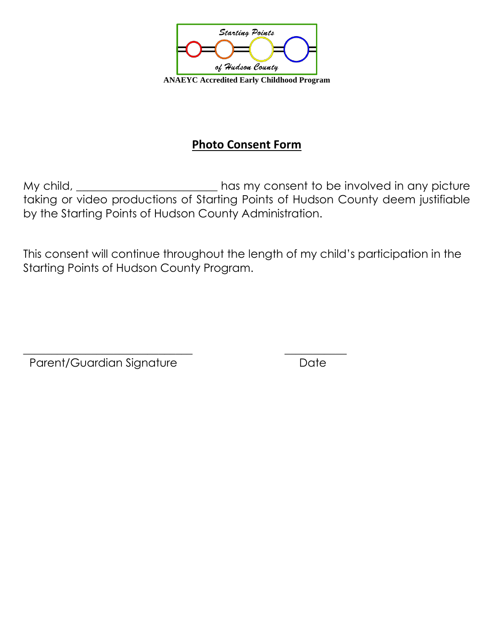

### **Photo Consent Form**

My child, the same consent to be involved in any picture taking or video productions of Starting Points of Hudson County deem justifiable by the Starting Points of Hudson County Administration.

This consent will continue throughout the length of my child's participation in the Starting Points of Hudson County Program.

\_\_\_\_\_\_\_\_\_\_\_\_\_\_\_\_\_\_\_\_\_\_\_\_\_\_\_\_\_\_ \_\_\_\_\_\_\_\_\_\_\_

Parent/Guardian Signature **Date** Date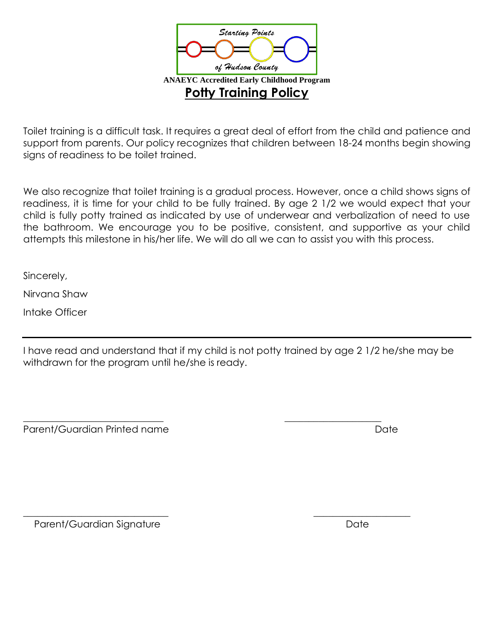

Toilet training is a difficult task. It requires a great deal of effort from the child and patience and support from parents. Our policy recognizes that children between 18-24 months begin showing signs of readiness to be toilet trained.

We also recognize that toilet training is a gradual process. However, once a child shows signs of readiness, it is time for your child to be fully trained. By age 2 1/2 we would expect that your child is fully potty trained as indicated by use of underwear and verbalization of need to use the bathroom. We encourage you to be positive, consistent, and supportive as your child attempts this milestone in his/her life. We will do all we can to assist you with this process.

Sincerely,

Nirvana Shaw

Intake Officer

I have read and understand that if my child is not potty trained by age 2 1/2 he/she may be withdrawn for the program until he/she is ready.

Parent/Guardian Printed name **Date** Date **Date** 

\_\_\_\_\_\_\_\_\_\_\_\_\_\_\_\_\_\_\_\_\_\_\_\_\_\_\_\_\_ \_\_\_\_\_\_\_\_\_\_\_\_\_\_\_\_\_\_\_\_

\_\_\_\_\_\_\_\_\_\_\_\_\_\_\_\_\_\_\_\_\_\_\_\_\_\_\_\_\_\_ \_\_\_\_\_\_\_\_\_\_\_\_\_\_\_\_\_\_\_\_ Parent/Guardian Signature **Date** Date Date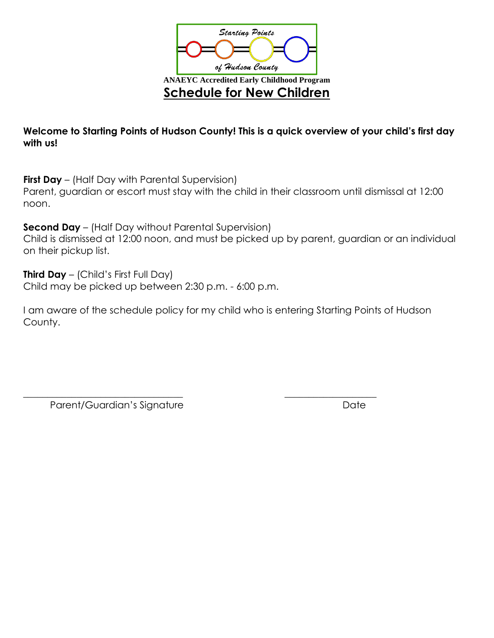

**Welcome to Starting Points of Hudson County! This is a quick overview of your child's first day with us!**

**First Day** – (Half Day with Parental Supervision)

Parent, guardian or escort must stay with the child in their classroom until dismissal at 12:00 noon.

**Second Day** – (Half Day without Parental Supervision)

Child is dismissed at 12:00 noon, and must be picked up by parent, guardian or an individual on their pickup list.

**Third Day** – (Child's First Full Day)

Child may be picked up between 2:30 p.m. - 6:00 p.m.

I am aware of the schedule policy for my child who is entering Starting Points of Hudson County.

\_\_\_\_\_\_\_\_\_\_\_\_\_\_\_\_\_\_\_\_\_\_\_\_\_\_\_\_\_\_\_\_\_ \_\_\_\_\_\_\_\_\_\_\_\_\_\_\_\_\_\_\_

Parent/Guardian's Signature Date Date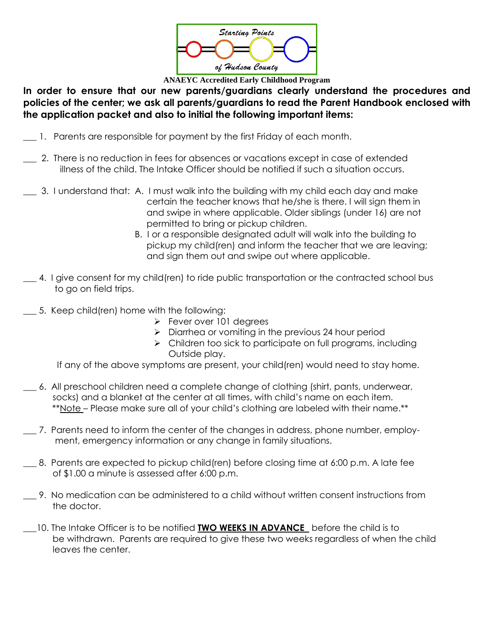

**ANAEYC Accredited Early Childhood Program**

**In order to ensure that our new parents/guardians clearly understand the procedures and policies of the center; we ask all parents/guardians to read the Parent Handbook enclosed with the application packet and also to initial the following important items:**

- **\_\_\_** 1. Parents are responsible for payment by the first Friday of each month.
- \_\_\_ 2. There is no reduction in fees for absences or vacations except in case of extended illness of the child. The Intake Officer should be notified if such a situation occurs.
- \_\_\_ 3. I understand that: A. I must walk into the building with my child each day and make certain the teacher knows that he/she is there. I will sign them in and swipe in where applicable. Older siblings (under 16) are not permitted to bring or pickup children.
	- B. I or a responsible designated adult will walk into the building to pickup my child(ren) and inform the teacher that we are leaving; and sign them out and swipe out where applicable.
- \_\_\_ 4. I give consent for my child(ren) to ride public transportation or the contracted school bus to go on field trips.
- 5. Keep child(ren) home with the following:
	- ➢ Fever over 101 degrees
	- ➢ Diarrhea or vomiting in the previous 24 hour period
	- ➢ Children too sick to participate on full programs, including Outside play.

If any of the above symptoms are present, your child(ren) would need to stay home.

- \_\_\_ 6. All preschool children need a complete change of clothing (shirt, pants, underwear, socks) and a blanket at the center at all times, with child's name on each item. \*\*Note – Please make sure all of your child's clothing are labeled with their name.\*\*
- \_\_\_ 7. Parents need to inform the center of the changes in address, phone number, employ ment, emergency information or any change in family situations.
- \_\_\_ 8. Parents are expected to pickup child(ren) before closing time at 6:00 p.m. A late fee of \$1.00 a minute is assessed after 6:00 p.m.
- \_\_\_ 9. No medication can be administered to a child without written consent instructions from the doctor.
	- \_\_\_10. The Intake Officer is to be notified **TWO WEEKS IN ADVANCE** before the child is to be withdrawn. Parents are required to give these two weeks regardless of when the child leaves the center.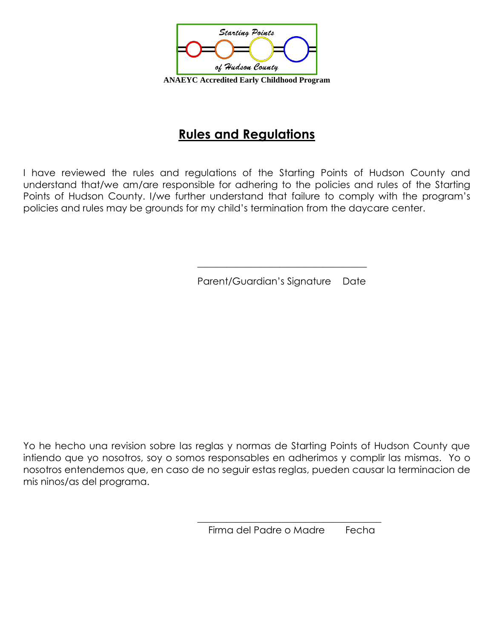

### **Rules and Regulations**

I have reviewed the rules and regulations of the Starting Points of Hudson County and understand that/we am/are responsible for adhering to the policies and rules of the Starting Points of Hudson County. I/we further understand that failure to comply with the program's policies and rules may be grounds for my child's termination from the daycare center.

Parent/Guardian's Signature Date

\_\_\_\_\_\_\_\_\_\_\_\_\_\_\_\_\_\_\_\_\_\_\_\_\_\_\_\_\_\_\_\_\_\_\_

Yo he hecho una revision sobre las reglas y normas de Starting Points of Hudson County que intiendo que yo nosotros, soy o somos responsables en adherimos y complir las mismas. Yo o nosotros entendemos que, en caso de no seguir estas reglas, pueden causar la terminacion de mis ninos/as del programa.

> \_\_\_\_\_\_\_\_\_\_\_\_\_\_\_\_\_\_\_\_\_\_\_\_\_\_\_\_\_\_\_\_\_\_\_\_\_\_ Firma del Padre o Madre Fecha